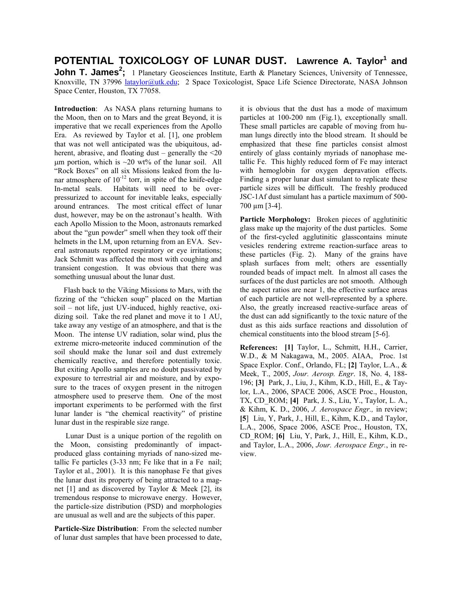**POTENTIAL TOXICOLOGY OF LUNAR DUST.** Lawrence A. Taylor<sup>1</sup> and **John T. James<sup>2</sup>**; 1 Planetary Geosciences Institute, Earth & Planetary Sciences, University of Tennessee, Knoxville, TN 37996 lataylor@utk.edu; 2 Space Toxicologist, Space Life Science Directorate, NASA Johnson Space Center, Houston, TX 77058.

**Introduction**: As NASA plans returning humans to the Moon, then on to Mars and the great Beyond, it is imperative that we recall experiences from the Apollo Era. As reviewed by Taylor et al. [1], one problem that was not well anticipated was the ubiquitous, adherent, abrasive, and floating dust – generally the  $\leq 20$  $\mu$ m portion, which is ~20 wt% of the lunar soil. All "Rock Boxes" on all six Missions leaked from the lunar atmosphere of  $10^{-12}$  torr, in spite of the knife-edge In-metal seals. Habitats will need to be overpressurized to account for inevitable leaks, especially around entrances. The most critical effect of lunar dust, however, may be on the astronaut's health. With each Apollo Mission to the Moon, astronauts remarked about the "gun powder" smell when they took off their helmets in the LM, upon returning from an EVA. Several astronauts reported respiratory or eye irritations; Jack Schmitt was affected the most with coughing and transient congestion. It was obvious that there was something unusual about the lunar dust.

 Flash back to the Viking Missions to Mars, with the fizzing of the "chicken soup" placed on the Martian soil – not life, just UV-induced, highly reactive, oxidizing soil. Take the red planet and move it to 1 AU, take away any vestige of an atmosphere, and that is the Moon. The intense UV radiation, solar wind, plus the extreme micro-meteorite induced comminution of the soil should make the lunar soil and dust extremely chemically reactive, and therefore potentially toxic. But exiting Apollo samples are no doubt passivated by exposure to terrestrial air and moisture, and by exposure to the traces of oxygen present in the nitrogen atmosphere used to preserve them. One of the most important experiments to be performed with the first lunar lander is "the chemical reactivity" of pristine lunar dust in the respirable size range.

 Lunar Dust is a unique portion of the regolith on the Moon, consisting predominantly of impactproduced glass containing myriads of nano-sized metallic Fe particles (3-33 nm; Fe like that in a Fe nail; Taylor et al., 2001). It is this nanophase Fe that gives the lunar dust its property of being attracted to a magnet [1] and as discovered by Taylor & Meek [2], its tremendous response to microwave energy. However, the particle-size distribution (PSD) and morphologies are unusual as well and are the subjects of this paper.

**Particle-Size Distribution**: From the selected number of lunar dust samples that have been processed to date,

it is obvious that the dust has a mode of maximum particles at 100-200 nm (Fig.1), exceptionally small. These small particles are capable of moving from human lungs directly into the blood stream. It should be emphasized that these fine particles consist almost entirely of glass containly myriads of nanophase metallic Fe. This highly reduced form of Fe may interact with hemoglobin for oxygen depravation effects. Finding a proper lunar dust simulant to replicate these particle sizes will be difficult. The freshly produced JSC-1Af dust simulant has a particle maximum of 500- 700 µm [3-4].

Particle Morphology: Broken pieces of agglutinitic glass make up the majority of the dust particles. Some of the first-cycled agglutinitic glasscontains minute vesicles rendering extreme reaction-surface areas to these particles (Fig. 2). Many of the grains have splash surfaces from melt; others are essentially rounded beads of impact melt. In almost all cases the surfaces of the dust particles are not smooth. Although the aspect ratios are near 1, the effective surface areas of each particle are not well-represented by a sphere. Also, the greatly increased reactive-surface areas of the dust can add significantly to the toxic nature of the dust as this aids surface reactions and dissolution of chemical constituents into the blood stream [5-6].

**References: [1]** Taylor, L., Schmitt, H.H., Carrier, W.D., & M Nakagawa, M., 2005. AIAA, Proc. 1st Space Explor. Conf., Orlando, FL; **[2]** Taylor, L.A., & Meek, T., 2005, *Jour. Aerosp. Engr*. 18, No. 4, 188- 196; **[3]** Park, J., Liu, J., Kihm, K.D., Hill, E., & Taylor, L.A., 2006, SPACE 2006, ASCE Proc., Houston, TX, CD\_ROM; **[4]** Park, J. S., Liu, Y., Taylor, L. A., & Kihm, K. D., 2006, *J. Aerospace Engr.,* in review; **[5**] Liu, Y, Park, J., Hill, E., Kihm, K.D., and Taylor, L.A., 2006, Space 2006, ASCE Proc., Houston, TX, CD\_ROM; **[6]** Liu, Y, Park, J., Hill, E., Kihm, K.D., and Taylor, L.A., 2006, *Jour. Aerospace Engr.*, in review.